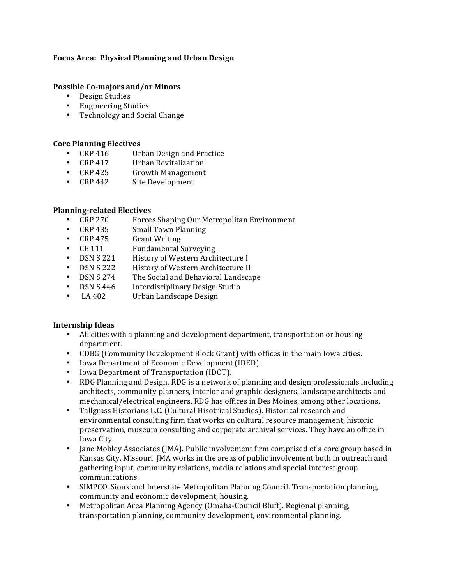# Focus Area: Physical Planning and Urban Design

### **Possible Co-majors and/or Minors**

- Design Studies
- Engineering Studies
- Technology and Social Change

## **Core Planning Electives**

- CRP 416 Urban Design and Practice
- CRP 417 Urban Revitalization<br>• CRP 425 Growth Management
- Growth Management
- CRP 442 Site Development

#### **Planning-related Electives**

- CRP 270 Forces Shaping Our Metropolitan Environment<br>• CRP 435 Small Town Planning
- Small Town Planning
- CRP 475 Grant Writing
- CE 111 Fundamental Surveying
- DSN S 221 History of Western Architecture I<br>• DSN S 222 History of Western Architecture II
- DSN S 222 History of Western Architecture II<br>• DSN S 274 The Social and Behavioral Landsca
- The Social and Behavioral Landscape
- DSN S 446 Interdisciplinary Design Studio
- LA 402 Urban Landscape Design

## **Internship Ideas**

- All cities with a planning and development department, transportation or housing department.
- CDBG (Community Development Block Grant) with offices in the main Iowa cities.
- Iowa Department of Economic Development (IDED).
- Iowa Department of Transportation (IDOT).
- RDG Planning and Design. RDG is a network of planning and design professionals including architects, community planners, interior and graphic designers, landscape architects and mechanical/electrical engineers. RDG has offices in Des Moines, among other locations.
- Tallgrass Historians L.C. (Cultural Hisotrical Studies). Historical research and environmental consulting firm that works on cultural resource management, historic preservation, museum consulting and corporate archival services. They have an office in Iowa City.
- Jane Mobley Associates (JMA). Public involvement firm comprised of a core group based in Kansas City, Missouri. JMA works in the areas of public involvement both in outreach and gathering input, community relations, media relations and special interest group communications.
- SIMPCO. Siouxland Interstate Metropolitan Planning Council. Transportation planning, community and economic development, housing.
- Metropolitan Area Planning Agency (Omaha-Council Bluff). Regional planning, transportation planning, community development, environmental planning.